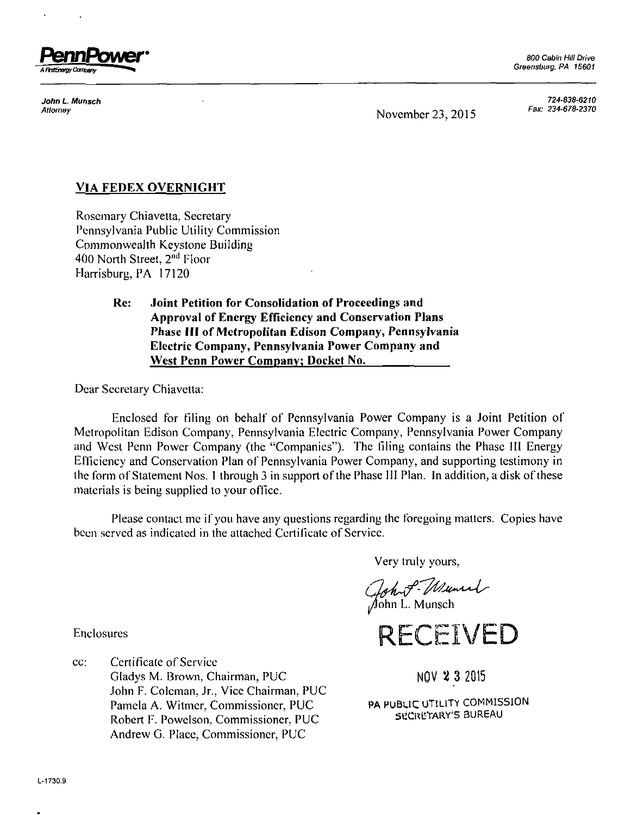

800 Cabin Hill Drive Greensburg, PA 15601

Attorney<br>November 23, 2015

*Jo/in Munsc/i 724-838-6210*   $\blacksquare$ 

## **VIA FEDEX OVERNIGHT**

Rosemary Chiavetta, Secretary Pennsylvania Public Utility Commission Commonwealth Keystone Building 400 North Street, 2<sup>nd</sup> Floor Harrisburg, PA 17120

> **Rc: Joint Petition for Consolidation of Proceedings and Approval of Energy Efficiency and Conservation Plans Phase III of Metropolitan Edison Company, Pennsylvania Electric Company, Pennsylvania Power Company and West Penn Power Company; Docket No.**

Dear Secretary Chiavetta:

Enclosed for filing on behalf of Pennsylvania Power Company is a Joint Petition of Metropolitan Edison Company, Pennsylvania Electric Company, Pennsylvania Power Company and West Penn Power Company (the "Companies"). The filing contains the Phase HI Energy Efficiency and Conservation Plan of Pennsylvania Power Company, and supporting testimony in the form of Statement Nos. 1 through 3 in support of the Phase III Plan. In addition, a disk of these materials is being supplied to your office.

Please contact me if you have any questions regarding the foregoing matters. Copies have been served as indicated in the attached Certificate of Service.

Very truly yours,

Gohn P- Munich

**RECEIVED** 

Enclosures

cc: Certificate of Service Gladys M. Brown, Chairman, PUC NOV 2 3 2015 John F. Coleman, Jr., Vice Chairman, PUC Pamela A. Witmer, Commissioner, PUC<br>Robert E. Powelson, Commissioner, PUC SECRETARY'S BUREAU Robert F. Powelson, Commissioner, PUC Andrew G. Place, Commissioner, PUC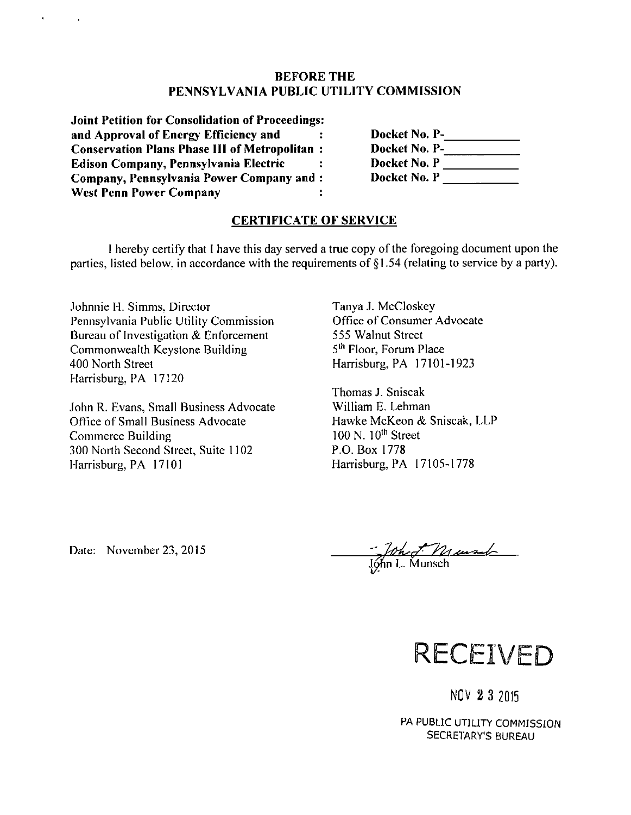## **BEFORE THE PENNSYLVANIA PUBLIC UTILITY COMMISSION**

**Joint Petition for Consolidation of Proceedings and Approval of Energy Efficiency and**   $\ddot{\mathbf{z}}$ **Conservation Plans Phase HI of Metropolitan Edison Company, Pennsylvania Electric Company, Pennsylvania Power Company and West Penn Power Company** 

 $\sim$   $\sim$ 

Docket No. P-**\_\_\_\_\_\_\_\_\_** Docket No. P-**\_\_\_\_\_\_\_\_\_\_\_\_\_ Docket No. P \_ Docket No. P** 

## **CERTIFICATE OF SERVICE**

I hereby certify that I have this day served a true copy of the foregoing document upon the parties, listed below, in accordance with the requirements of §1.54 (relating to service by a party).

Johnnie H. Simms, Director Pennsylvania Public Utility Commission Bureau of Investigation & Enforcement Commonwealth Keystone Building 400 North Street Harrisburg, PA 17120

John R. Evans, Small Business Advocate Office of Small Business Advocate Commerce Building 300 North Second Street, Suite 1102 Harrisburg, PA 17101

Tanya J. McCloskey Office of Consumer Advocate 555 Walnut Street 5<sup>th</sup> Floor, Forum Place Harrisburg, PA 17101-1923

Thomas J. Sniscak William E. Lehman Hawke McKeon & Sniscak, LLP 100 N. 10<sup>th</sup> Street P.O. Box 1778 Harrisburg, PA 17105-1778

Date: November 23, 2015

<u>Sphoot Musul</u>



NOV 2 3 2015

PA PUBLIC UTILITY COMMISSION SECRETARY'S BUREAU